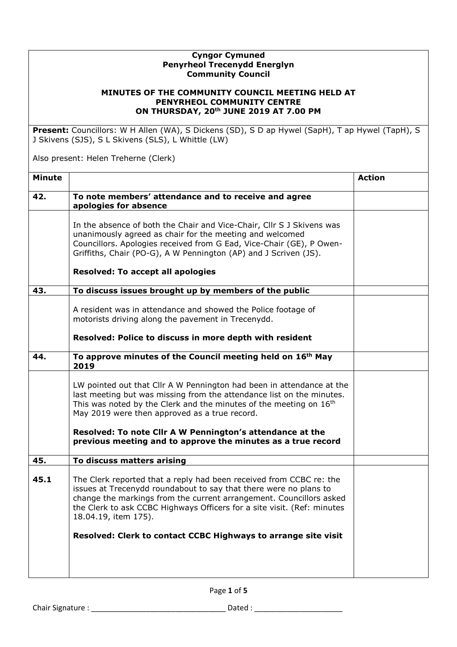## **Cyngor Cymuned Penyrheol Trecenydd Energlyn Community Council**

## **MINUTES OF THE COMMUNITY COUNCIL MEETING HELD AT PENYRHEOL COMMUNITY CENTRE ON THURSDAY, 20th JUNE 2019 AT 7.00 PM**

**Present:** Councillors: W H Allen (WA), S Dickens (SD), S D ap Hywel (SapH), T ap Hywel (TapH), S J Skivens (SJS), S L Skivens (SLS), L Whittle (LW)

Also present: Helen Treherne (Clerk)

| <b>Minute</b> |                                                                                                                                                                                                                                                                                                                                                                                                                | <b>Action</b> |
|---------------|----------------------------------------------------------------------------------------------------------------------------------------------------------------------------------------------------------------------------------------------------------------------------------------------------------------------------------------------------------------------------------------------------------------|---------------|
| 42.           | To note members' attendance and to receive and agree<br>apologies for absence                                                                                                                                                                                                                                                                                                                                  |               |
|               | In the absence of both the Chair and Vice-Chair, Cllr S J Skivens was<br>unanimously agreed as chair for the meeting and welcomed<br>Councillors. Apologies received from G Ead, Vice-Chair (GE), P Owen-<br>Griffiths, Chair (PO-G), A W Pennington (AP) and J Scriven (JS).<br><b>Resolved: To accept all apologies</b>                                                                                      |               |
| 43.           | To discuss issues brought up by members of the public                                                                                                                                                                                                                                                                                                                                                          |               |
|               | A resident was in attendance and showed the Police footage of<br>motorists driving along the pavement in Trecenydd.<br>Resolved: Police to discuss in more depth with resident                                                                                                                                                                                                                                 |               |
| 44.           | To approve minutes of the Council meeting held on 16 <sup>th</sup> May<br>2019                                                                                                                                                                                                                                                                                                                                 |               |
|               | LW pointed out that Cllr A W Pennington had been in attendance at the<br>last meeting but was missing from the attendance list on the minutes.<br>This was noted by the Clerk and the minutes of the meeting on 16 <sup>th</sup><br>May 2019 were then approved as a true record.<br>Resolved: To note Cllr A W Pennington's attendance at the<br>previous meeting and to approve the minutes as a true record |               |
| 45.           | To discuss matters arising                                                                                                                                                                                                                                                                                                                                                                                     |               |
| 45.1          | The Clerk reported that a reply had been received from CCBC re: the<br>issues at Trecenydd roundabout to say that there were no plans to<br>change the markings from the current arrangement. Councillors asked<br>the Clerk to ask CCBC Highways Officers for a site visit. (Ref: minutes<br>18.04.19, item 175).                                                                                             |               |
|               | Resolved: Clerk to contact CCBC Highways to arrange site visit                                                                                                                                                                                                                                                                                                                                                 |               |
|               |                                                                                                                                                                                                                                                                                                                                                                                                                |               |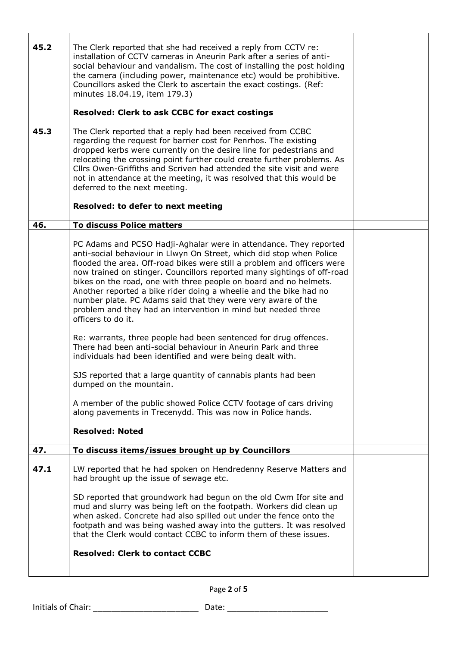| 45.2<br>45.3 | The Clerk reported that she had received a reply from CCTV re:<br>installation of CCTV cameras in Aneurin Park after a series of anti-<br>social behaviour and vandalism. The cost of installing the post holding<br>the camera (including power, maintenance etc) would be prohibitive.<br>Councillors asked the Clerk to ascertain the exact costings. (Ref:<br>minutes 18.04.19, item 179.3)<br><b>Resolved: Clerk to ask CCBC for exact costings</b><br>The Clerk reported that a reply had been received from CCBC<br>regarding the request for barrier cost for Penrhos. The existing<br>dropped kerbs were currently on the desire line for pedestrians and<br>relocating the crossing point further could create further problems. As |  |
|--------------|-----------------------------------------------------------------------------------------------------------------------------------------------------------------------------------------------------------------------------------------------------------------------------------------------------------------------------------------------------------------------------------------------------------------------------------------------------------------------------------------------------------------------------------------------------------------------------------------------------------------------------------------------------------------------------------------------------------------------------------------------|--|
|              | Cllrs Owen-Griffiths and Scriven had attended the site visit and were<br>not in attendance at the meeting, it was resolved that this would be<br>deferred to the next meeting.                                                                                                                                                                                                                                                                                                                                                                                                                                                                                                                                                                |  |
|              | Resolved: to defer to next meeting                                                                                                                                                                                                                                                                                                                                                                                                                                                                                                                                                                                                                                                                                                            |  |
| 46.          | <b>To discuss Police matters</b>                                                                                                                                                                                                                                                                                                                                                                                                                                                                                                                                                                                                                                                                                                              |  |
|              | PC Adams and PCSO Hadji-Aghalar were in attendance. They reported<br>anti-social behaviour in Llwyn On Street, which did stop when Police<br>flooded the area. Off-road bikes were still a problem and officers were<br>now trained on stinger. Councillors reported many sightings of off-road<br>bikes on the road, one with three people on board and no helmets.<br>Another reported a bike rider doing a wheelie and the bike had no<br>number plate. PC Adams said that they were very aware of the<br>problem and they had an intervention in mind but needed three<br>officers to do it.                                                                                                                                              |  |
|              | Re: warrants, three people had been sentenced for drug offences.<br>There had been anti-social behaviour in Aneurin Park and three<br>individuals had been identified and were being dealt with.                                                                                                                                                                                                                                                                                                                                                                                                                                                                                                                                              |  |
|              | SJS reported that a large quantity of cannabis plants had been<br>dumped on the mountain.                                                                                                                                                                                                                                                                                                                                                                                                                                                                                                                                                                                                                                                     |  |
|              | A member of the public showed Police CCTV footage of cars driving<br>along pavements in Trecenydd. This was now in Police hands.                                                                                                                                                                                                                                                                                                                                                                                                                                                                                                                                                                                                              |  |
|              | <b>Resolved: Noted</b>                                                                                                                                                                                                                                                                                                                                                                                                                                                                                                                                                                                                                                                                                                                        |  |
| 47.          | To discuss items/issues brought up by Councillors                                                                                                                                                                                                                                                                                                                                                                                                                                                                                                                                                                                                                                                                                             |  |
| 47.1         | LW reported that he had spoken on Hendredenny Reserve Matters and<br>had brought up the issue of sewage etc.<br>SD reported that groundwork had begun on the old Cwm Ifor site and                                                                                                                                                                                                                                                                                                                                                                                                                                                                                                                                                            |  |
|              | mud and slurry was being left on the footpath. Workers did clean up<br>when asked. Concrete had also spilled out under the fence onto the<br>footpath and was being washed away into the gutters. It was resolved<br>that the Clerk would contact CCBC to inform them of these issues.                                                                                                                                                                                                                                                                                                                                                                                                                                                        |  |
|              | <b>Resolved: Clerk to contact CCBC</b>                                                                                                                                                                                                                                                                                                                                                                                                                                                                                                                                                                                                                                                                                                        |  |

Page **2** of **5**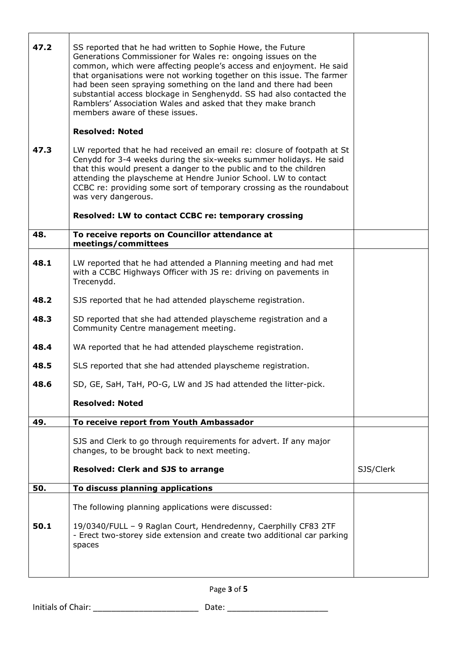| 47.2<br>47.3 | SS reported that he had written to Sophie Howe, the Future<br>Generations Commissioner for Wales re: ongoing issues on the<br>common, which were affecting people's access and enjoyment. He said<br>that organisations were not working together on this issue. The farmer<br>had been seen spraying something on the land and there had been<br>substantial access blockage in Senghenydd. SS had also contacted the<br>Ramblers' Association Wales and asked that they make branch<br>members aware of these issues.<br><b>Resolved: Noted</b><br>LW reported that he had received an email re: closure of footpath at St<br>Cenydd for 3-4 weeks during the six-weeks summer holidays. He said<br>that this would present a danger to the public and to the children<br>attending the playscheme at Hendre Junior School. LW to contact<br>CCBC re: providing some sort of temporary crossing as the roundabout<br>was very dangerous. |           |
|--------------|--------------------------------------------------------------------------------------------------------------------------------------------------------------------------------------------------------------------------------------------------------------------------------------------------------------------------------------------------------------------------------------------------------------------------------------------------------------------------------------------------------------------------------------------------------------------------------------------------------------------------------------------------------------------------------------------------------------------------------------------------------------------------------------------------------------------------------------------------------------------------------------------------------------------------------------------|-----------|
|              | Resolved: LW to contact CCBC re: temporary crossing                                                                                                                                                                                                                                                                                                                                                                                                                                                                                                                                                                                                                                                                                                                                                                                                                                                                                        |           |
| 48.          | To receive reports on Councillor attendance at<br>meetings/committees                                                                                                                                                                                                                                                                                                                                                                                                                                                                                                                                                                                                                                                                                                                                                                                                                                                                      |           |
| 48.1         | LW reported that he had attended a Planning meeting and had met<br>with a CCBC Highways Officer with JS re: driving on pavements in<br>Trecenydd.                                                                                                                                                                                                                                                                                                                                                                                                                                                                                                                                                                                                                                                                                                                                                                                          |           |
| 48.2         | SJS reported that he had attended playscheme registration.                                                                                                                                                                                                                                                                                                                                                                                                                                                                                                                                                                                                                                                                                                                                                                                                                                                                                 |           |
| 48.3         | SD reported that she had attended playscheme registration and a<br>Community Centre management meeting.                                                                                                                                                                                                                                                                                                                                                                                                                                                                                                                                                                                                                                                                                                                                                                                                                                    |           |
| 48.4         | WA reported that he had attended playscheme registration.                                                                                                                                                                                                                                                                                                                                                                                                                                                                                                                                                                                                                                                                                                                                                                                                                                                                                  |           |
| 48.5         | SLS reported that she had attended playscheme registration.                                                                                                                                                                                                                                                                                                                                                                                                                                                                                                                                                                                                                                                                                                                                                                                                                                                                                |           |
| 48.6         | SD, GE, SaH, TaH, PO-G, LW and JS had attended the litter-pick.                                                                                                                                                                                                                                                                                                                                                                                                                                                                                                                                                                                                                                                                                                                                                                                                                                                                            |           |
|              | <b>Resolved: Noted</b>                                                                                                                                                                                                                                                                                                                                                                                                                                                                                                                                                                                                                                                                                                                                                                                                                                                                                                                     |           |
| 49.          | To receive report from Youth Ambassador                                                                                                                                                                                                                                                                                                                                                                                                                                                                                                                                                                                                                                                                                                                                                                                                                                                                                                    |           |
|              | SJS and Clerk to go through requirements for advert. If any major<br>changes, to be brought back to next meeting.                                                                                                                                                                                                                                                                                                                                                                                                                                                                                                                                                                                                                                                                                                                                                                                                                          |           |
|              | <b>Resolved: Clerk and SJS to arrange</b>                                                                                                                                                                                                                                                                                                                                                                                                                                                                                                                                                                                                                                                                                                                                                                                                                                                                                                  | SJS/Clerk |
| 50.          | To discuss planning applications                                                                                                                                                                                                                                                                                                                                                                                                                                                                                                                                                                                                                                                                                                                                                                                                                                                                                                           |           |
|              | The following planning applications were discussed:                                                                                                                                                                                                                                                                                                                                                                                                                                                                                                                                                                                                                                                                                                                                                                                                                                                                                        |           |
| 50.1         | 19/0340/FULL - 9 Raglan Court, Hendredenny, Caerphilly CF83 2TF<br>- Erect two-storey side extension and create two additional car parking<br>spaces                                                                                                                                                                                                                                                                                                                                                                                                                                                                                                                                                                                                                                                                                                                                                                                       |           |
|              |                                                                                                                                                                                                                                                                                                                                                                                                                                                                                                                                                                                                                                                                                                                                                                                                                                                                                                                                            |           |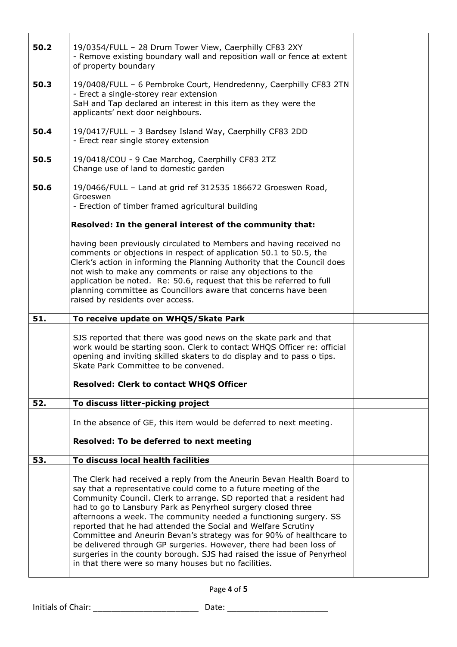| 50.2 | 19/0354/FULL - 28 Drum Tower View, Caerphilly CF83 2XY<br>- Remove existing boundary wall and reposition wall or fence at extent<br>of property boundary                                                                                                                                                                                                                                                                                                                                                                                                                                                                                                                                                                                    |  |
|------|---------------------------------------------------------------------------------------------------------------------------------------------------------------------------------------------------------------------------------------------------------------------------------------------------------------------------------------------------------------------------------------------------------------------------------------------------------------------------------------------------------------------------------------------------------------------------------------------------------------------------------------------------------------------------------------------------------------------------------------------|--|
| 50.3 | 19/0408/FULL - 6 Pembroke Court, Hendredenny, Caerphilly CF83 2TN<br>- Erect a single-storey rear extension<br>SaH and Tap declared an interest in this item as they were the<br>applicants' next door neighbours.                                                                                                                                                                                                                                                                                                                                                                                                                                                                                                                          |  |
| 50.4 | 19/0417/FULL - 3 Bardsey Island Way, Caerphilly CF83 2DD<br>- Erect rear single storey extension                                                                                                                                                                                                                                                                                                                                                                                                                                                                                                                                                                                                                                            |  |
| 50.5 | 19/0418/COU - 9 Cae Marchog, Caerphilly CF83 2TZ<br>Change use of land to domestic garden                                                                                                                                                                                                                                                                                                                                                                                                                                                                                                                                                                                                                                                   |  |
| 50.6 | 19/0466/FULL - Land at grid ref 312535 186672 Groeswen Road,<br>Groeswen<br>- Erection of timber framed agricultural building                                                                                                                                                                                                                                                                                                                                                                                                                                                                                                                                                                                                               |  |
|      | Resolved: In the general interest of the community that:                                                                                                                                                                                                                                                                                                                                                                                                                                                                                                                                                                                                                                                                                    |  |
|      | having been previously circulated to Members and having received no<br>comments or objections in respect of application 50.1 to 50.5, the<br>Clerk's action in informing the Planning Authority that the Council does<br>not wish to make any comments or raise any objections to the<br>application be noted. Re: 50.6, request that this be referred to full<br>planning committee as Councillors aware that concerns have been<br>raised by residents over access.                                                                                                                                                                                                                                                                       |  |
| 51.  | To receive update on WHQS/Skate Park                                                                                                                                                                                                                                                                                                                                                                                                                                                                                                                                                                                                                                                                                                        |  |
|      |                                                                                                                                                                                                                                                                                                                                                                                                                                                                                                                                                                                                                                                                                                                                             |  |
|      | SJS reported that there was good news on the skate park and that<br>work would be starting soon. Clerk to contact WHQS Officer re: official<br>opening and inviting skilled skaters to do display and to pass o tips.<br>Skate Park Committee to be convened.                                                                                                                                                                                                                                                                                                                                                                                                                                                                               |  |
|      | <b>Resolved: Clerk to contact WHQS Officer</b>                                                                                                                                                                                                                                                                                                                                                                                                                                                                                                                                                                                                                                                                                              |  |
| 52.  | To discuss litter-picking project                                                                                                                                                                                                                                                                                                                                                                                                                                                                                                                                                                                                                                                                                                           |  |
|      | In the absence of GE, this item would be deferred to next meeting.<br>Resolved: To be deferred to next meeting                                                                                                                                                                                                                                                                                                                                                                                                                                                                                                                                                                                                                              |  |
|      |                                                                                                                                                                                                                                                                                                                                                                                                                                                                                                                                                                                                                                                                                                                                             |  |
| 53.  | To discuss local health facilities<br>The Clerk had received a reply from the Aneurin Bevan Health Board to<br>say that a representative could come to a future meeting of the<br>Community Council. Clerk to arrange. SD reported that a resident had<br>had to go to Lansbury Park as Penyrheol surgery closed three<br>afternoons a week. The community needed a functioning surgery. SS<br>reported that he had attended the Social and Welfare Scrutiny<br>Committee and Aneurin Bevan's strategy was for 90% of healthcare to<br>be delivered through GP surgeries. However, there had been loss of<br>surgeries in the county borough. SJS had raised the issue of Penyrheol<br>in that there were so many houses but no facilities. |  |

Page **4** of **5**